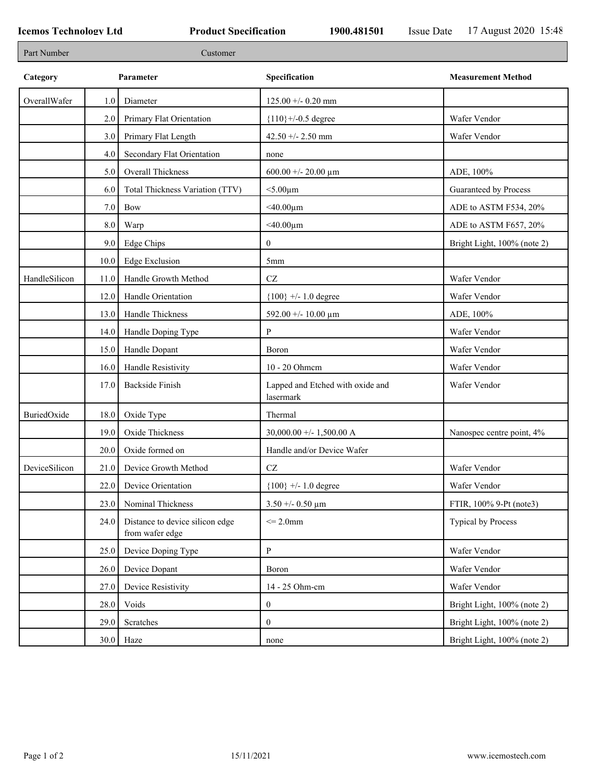| Part Number   |         | Customer                                           |                                               |                             |
|---------------|---------|----------------------------------------------------|-----------------------------------------------|-----------------------------|
| Category      |         | Parameter                                          | Specification                                 | <b>Measurement Method</b>   |
| OverallWafer  | 1.0     | Diameter                                           | $125.00 + -0.20$ mm                           |                             |
|               | 2.0     | Primary Flat Orientation                           | ${110}$ +/-0.5 degree                         | Wafer Vendor                |
|               | 3.0     | Primary Flat Length                                | 42.50 +/- 2.50 mm                             | Wafer Vendor                |
|               | 4.0     | Secondary Flat Orientation                         | none                                          |                             |
|               | 5.0     | Overall Thickness                                  | 600.00 +/- 20.00 $\mu$ m                      | ADE, 100%                   |
|               | 6.0     | Total Thickness Variation (TTV)                    | $<$ 5.00 $\mu$ m                              | Guaranteed by Process       |
|               | $7.0\,$ | Bow                                                | $<$ 40.00 $\mu$ m                             | ADE to ASTM F534, 20%       |
|               | $8.0\,$ | Warp                                               | $<$ 40.00 $\mu$ m                             | ADE to ASTM F657, 20%       |
|               | 9.0     | Edge Chips                                         | $\mathbf{0}$                                  | Bright Light, 100% (note 2) |
|               | 10.0    | Edge Exclusion                                     | 5 <sub>mm</sub>                               |                             |
| HandleSilicon | 11.0    | Handle Growth Method                               | $\operatorname{CZ}$                           | Wafer Vendor                |
|               | 12.0    | Handle Orientation                                 | ${100}$ +/- 1.0 degree                        | Wafer Vendor                |
|               | 13.0    | Handle Thickness                                   | 592.00 +/- 10.00 $\mu$ m                      | ADE, 100%                   |
|               | 14.0    | Handle Doping Type                                 | P                                             | Wafer Vendor                |
|               | 15.0    | Handle Dopant                                      | Boron                                         | Wafer Vendor                |
|               | 16.0    | Handle Resistivity                                 | 10 - 20 Ohmem                                 | Wafer Vendor                |
|               | 17.0    | <b>Backside Finish</b>                             | Lapped and Etched with oxide and<br>lasermark | Wafer Vendor                |
| BuriedOxide   | 18.0    | Oxide Type                                         | Thermal                                       |                             |
|               | 19.0    | Oxide Thickness                                    | 30,000.00 +/- 1,500.00 A                      | Nanospec centre point, 4%   |
|               | 20.0    | Oxide formed on                                    | Handle and/or Device Wafer                    |                             |
| DeviceSilicon | 21.0    | Device Growth Method                               | CZ                                            | Wafer Vendor                |
|               |         | 22.0 Device Orientation                            | $\{100\}$ +/- 1.0 degree                      | Wafer Vendor                |
|               | 23.0    | Nominal Thickness                                  | $3.50 + -0.50 \text{ }\mu\text{m}$            | FTIR, 100% 9-Pt (note3)     |
|               | 24.0    | Distance to device silicon edge<br>from wafer edge | $\leq$ 2.0mm                                  | Typical by Process          |
|               | 25.0    | Device Doping Type                                 | P                                             | Wafer Vendor                |
|               | 26.0    | Device Dopant                                      | Boron                                         | Wafer Vendor                |
|               | 27.0    | Device Resistivity                                 | 14 - 25 Ohm-cm                                | Wafer Vendor                |
|               | 28.0    | Voids                                              | $\mathbf{0}$                                  | Bright Light, 100% (note 2) |
|               | 29.0    | Scratches                                          | $\boldsymbol{0}$                              | Bright Light, 100% (note 2) |
|               | 30.0    | Haze                                               | none                                          | Bright Light, 100% (note 2) |